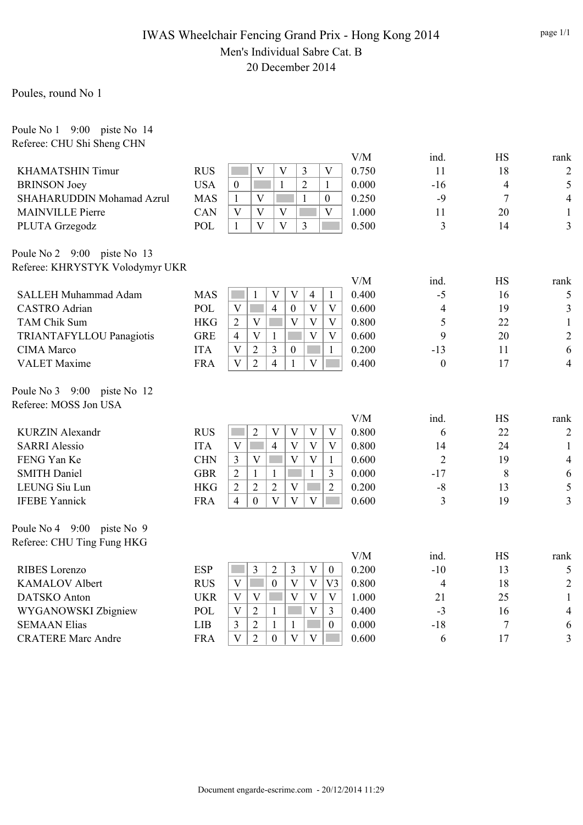## IWAS Wheelchair Fencing Grand Prix - Hong Kong 2014 Men's Individual Sabre Cat. B 20 December 2014

### Poules, round No 1

Poule No 1 9:00 piste No 14 Referee: CHU Shi Sheng CHN

|            |                                                                                                              |       | ind.             | HS             | rank           |
|------------|--------------------------------------------------------------------------------------------------------------|-------|------------------|----------------|----------------|
| <b>RUS</b> | $\overline{\mathbf{V}}$<br>$\overline{V}$<br>3<br>$\overline{\mathbf{V}}$                                    | 0.750 | 11               | 18             | $\overline{c}$ |
| <b>USA</b> | $\overline{2}$<br>$\mathbf{1}$<br>$\mathbf{1}$<br>$\mathbf{0}$                                               | 0.000 | $-16$            | $\overline{4}$ | 5              |
| <b>MAS</b> | $\overline{V}$<br>$\mathbf{1}$<br>$\mathbf{1}$<br>$\mathbf{0}$                                               | 0.250 | $-9$             | $\overline{7}$ | $\overline{4}$ |
| CAN        | $\overline{\mathbf{V}}$<br>$\overline{\mathbf{V}}$<br>V<br>V                                                 | 1.000 | 11               | 20             | $\mathbf{1}$   |
| POL        | $\overline{\mathbf{V}}$<br>$\overline{\mathbf{V}}$<br>$\mathbf{1}$<br>3                                      | 0.500 | 3                | 14             | 3              |
|            |                                                                                                              |       |                  |                |                |
|            |                                                                                                              |       |                  |                |                |
|            |                                                                                                              | V/M   | ind.             | <b>HS</b>      | rank           |
| <b>MAS</b> | $\mathbf{1}$<br>$\ensuremath{\mathbf{V}}$<br>V<br>$\overline{4}$<br>$\mathbf{1}$                             | 0.400 | $-5$             | 16             | 5              |
| <b>POL</b> | $\mathbf{V}$<br>$\overline{4}$<br>$\overline{\mathbf{V}}$<br>$\theta$<br>V                                   | 0.600 | $\overline{4}$   | 19             | $\mathfrak{Z}$ |
| <b>HKG</b> | $\overline{2}$<br>V<br>V<br>V<br>V                                                                           | 0.800 | 5                | 22             | $\mathbf{1}$   |
| <b>GRE</b> | $\overline{4}$<br>V<br>$\mathbf{V}$<br>V<br>$\mathbf{1}$                                                     | 0.600 | 9                | 20             | $\overline{2}$ |
| <b>ITA</b> | $\overline{3}$<br>V<br>$\overline{2}$<br>$\boldsymbol{0}$<br>$\mathbf{1}$                                    | 0.200 | $-13$            | 11             | 6              |
| <b>FRA</b> | $\overline{\mathbf{V}}$<br>$\overline{2}$<br>$\overline{V}$<br>$\overline{4}$<br>$\mathbf{1}$<br>ka k        | 0.400 | $\boldsymbol{0}$ | 17             | $\overline{4}$ |
|            |                                                                                                              |       |                  |                |                |
|            |                                                                                                              |       |                  |                |                |
|            |                                                                                                              | V/M   | ind.             | <b>HS</b>      | rank           |
| <b>RUS</b> | $\overline{2}$<br>V<br>V<br>$\mathbf{V}$<br>V                                                                | 0.800 | 6                | 22             | $\overline{2}$ |
| <b>ITA</b> | $\mathbf{V}$<br>$\overline{4}$<br>V<br>$\mathbf{V}$<br>V                                                     | 0.800 | 14               | 24             | $\mathbf{1}$   |
| <b>CHN</b> | $\overline{3}$<br>$\mathbf V$<br>V<br>$\mathbf{V}$<br>$\mathbf{1}$                                           | 0.600 | $\overline{2}$   | 19             | $\overline{4}$ |
| <b>GBR</b> | $\overline{2}$<br>$\mathbf{1}$<br>$\mathbf{1}$<br>3<br>1                                                     | 0.000 | $-17$            | 8              | 6              |
| <b>HKG</b> | $\overline{2}$<br>$\overline{2}$<br>$\overline{2}$<br>$\overline{2}$<br>V                                    | 0.200 | $-8$             | 13             | 5              |
| <b>FRA</b> | $\overline{\mathbf{V}}$<br>$\mathbf V$<br>$\mathbf V$<br>$\overline{4}$<br>$\theta$<br><b>College</b>        | 0.600 | 3                | 19             | 3              |
|            |                                                                                                              |       |                  |                |                |
|            |                                                                                                              |       |                  |                |                |
|            |                                                                                                              | V/M   | ind.             | <b>HS</b>      | rank           |
| <b>ESP</b> | 3<br>$\overline{2}$<br>$\overline{3}$<br>$\overline{\mathsf{V}}$<br>$\boldsymbol{0}$                         | 0.200 | $-10$            | 13             | 5              |
| <b>RUS</b> | V<br>$\boldsymbol{0}$<br>V<br>$\mathbf{V}$<br>V <sub>3</sub>                                                 | 0.800 | $\overline{4}$   | 18             | $\overline{2}$ |
| <b>UKR</b> | V<br>$\overline{\mathbf{V}}$<br>$\overline{\mathbf{V}}$<br>$\mathbf{V}$<br>V                                 | 1.000 | 21               | 25             | $\mathbf{1}$   |
| POL        | $\mathbf V$<br>$\mathbf{V}$<br>$\overline{2}$<br>$\mathbf{1}$<br>$\overline{3}$                              | 0.400 | $-3$             | 16             | $\overline{4}$ |
| LIB        | $\overline{3}$<br>$\overline{2}$<br>$\mathbf{0}$<br>1<br>$\mathbf{1}$                                        | 0.000 | $-18$            | $\overline{7}$ | 6              |
| <b>FRA</b> | $\overline{\mathbf{V}}$<br>$\overline{2}$<br>$\overline{V}$<br>$\overline{V}$<br>$\theta$<br><b>Contract</b> | 0.600 | 6                | 17             | $\overline{3}$ |
|            | Referee: KHRYSTYK Volodymyr UKR                                                                              |       | V/M              |                |                |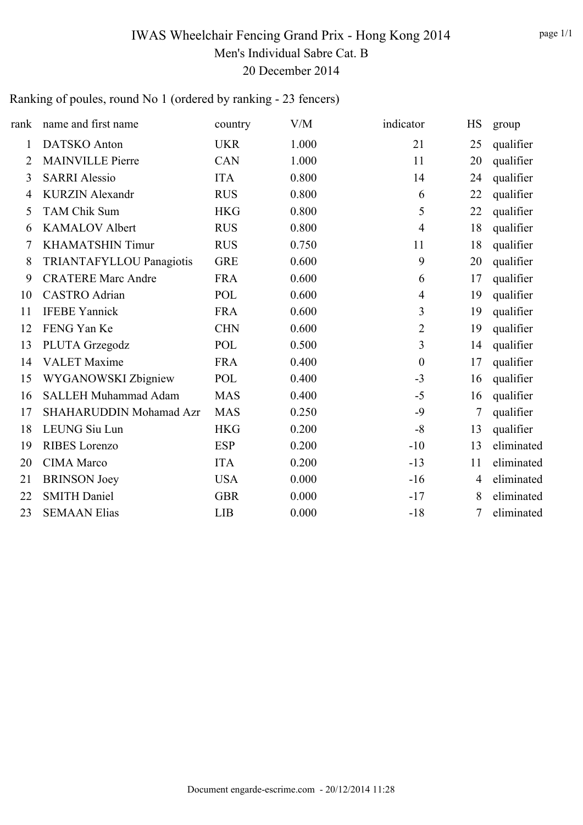# IWAS Wheelchair Fencing Grand Prix - Hong Kong 2014 Men's Individual Sabre Cat. B 20 December 2014

# Ranking of poules, round No 1 (ordered by ranking - 23 fencers)

| rank           | name and first name         | country    | V/M   | indicator        | HS | group      |
|----------------|-----------------------------|------------|-------|------------------|----|------------|
| 1              | <b>DATSKO</b> Anton         | <b>UKR</b> | 1.000 | 21               | 25 | qualifier  |
| 2              | <b>MAINVILLE Pierre</b>     | CAN        | 1.000 | 11               | 20 | qualifier  |
| 3              | <b>SARRI Alessio</b>        | <b>ITA</b> | 0.800 | 14               | 24 | qualifier  |
| $\overline{4}$ | <b>KURZIN Alexandr</b>      | <b>RUS</b> | 0.800 | 6                | 22 | qualifier  |
| 5              | <b>TAM Chik Sum</b>         | <b>HKG</b> | 0.800 | 5                | 22 | qualifier  |
| 6              | <b>KAMALOV Albert</b>       | <b>RUS</b> | 0.800 | $\overline{4}$   | 18 | qualifier  |
| 7              | <b>KHAMATSHIN Timur</b>     | <b>RUS</b> | 0.750 | 11               | 18 | qualifier  |
| 8              | TRIANTAFYLLOU Panagiotis    | <b>GRE</b> | 0.600 | 9                | 20 | qualifier  |
| 9              | <b>CRATERE Marc Andre</b>   | <b>FRA</b> | 0.600 | 6                | 17 | qualifier  |
| 10             | <b>CASTRO</b> Adrian        | POL        | 0.600 | $\overline{4}$   | 19 | qualifier  |
| 11             | <b>IFEBE Yannick</b>        | <b>FRA</b> | 0.600 | 3                | 19 | qualifier  |
| 12             | FENG Yan Ke                 | <b>CHN</b> | 0.600 | $\overline{2}$   | 19 | qualifier  |
| 13             | PLUTA Grzegodz              | POL        | 0.500 | 3                | 14 | qualifier  |
| 14             | <b>VALET</b> Maxime         | <b>FRA</b> | 0.400 | $\boldsymbol{0}$ | 17 | qualifier  |
| 15             | WYGANOWSKI Zbigniew         | POL        | 0.400 | $-3$             | 16 | qualifier  |
| 16             | <b>SALLEH Muhammad Adam</b> | <b>MAS</b> | 0.400 | $-5$             | 16 | qualifier  |
| 17             | SHAHARUDDIN Mohamad Azr     | <b>MAS</b> | 0.250 | $-9$             | 7  | qualifier  |
| 18             | <b>LEUNG Siu Lun</b>        | <b>HKG</b> | 0.200 | $-8$             | 13 | qualifier  |
| 19             | <b>RIBES</b> Lorenzo        | <b>ESP</b> | 0.200 | $-10$            | 13 | eliminated |
| 20             | <b>CIMA</b> Marco           | <b>ITA</b> | 0.200 | $-13$            | 11 | eliminated |
| 21             | <b>BRINSON</b> Joey         | <b>USA</b> | 0.000 | $-16$            | 4  | eliminated |
| 22             | <b>SMITH Daniel</b>         | <b>GBR</b> | 0.000 | $-17$            | 8  | eliminated |
| 23             | <b>SEMAAN Elias</b>         | <b>LIB</b> | 0.000 | $-18$            | 7  | eliminated |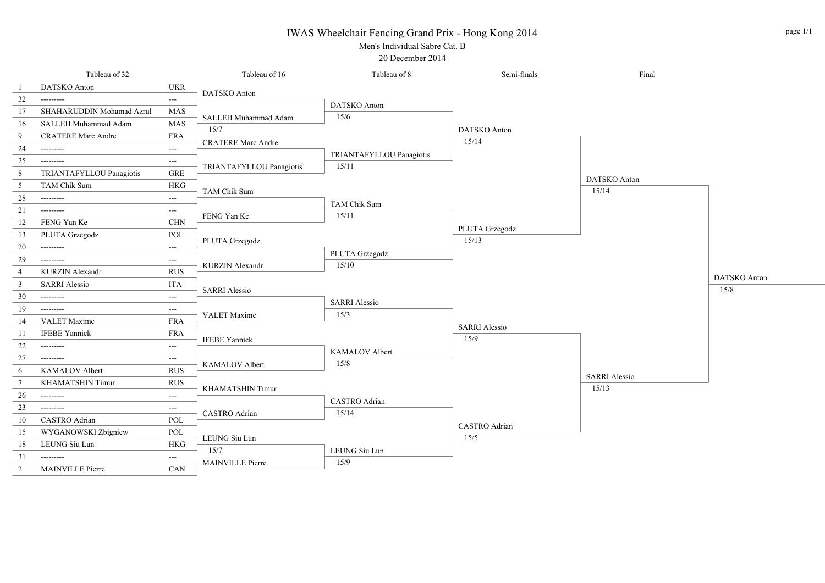#### IWAS Wheelchair Fencing Grand Prix - Hong Kong 2014



20 December 2014